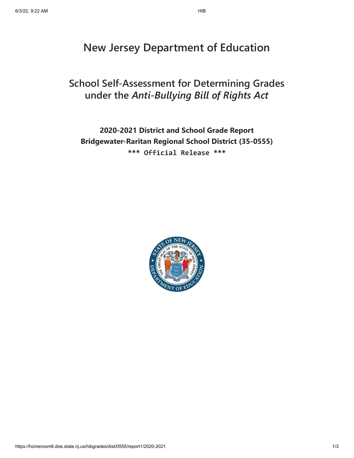# **New Jersey Department of Education**

# **School Self-Assessment for Determining Grades under the** *Anti-Bullying Bill of Rights Act*

# **2020-2021 District and School Grade Report Bridgewater-Raritan Regional School District (35-0555) \*\*\* Official Release \*\*\***

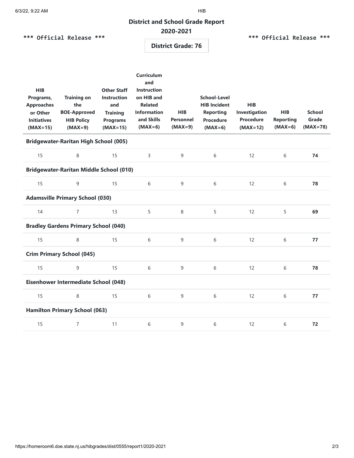## **District and School Grade Report**

## **2020-2021**

|  |  |  | *** Official Release *** |  |
|--|--|--|--------------------------|--|
|--|--|--|--------------------------|--|

#### **\*\*\* Official Release \*\*\***

**District Grade: 76**

| <b>HIB</b><br>Programs,<br><b>Approaches</b><br>or Other<br><b>Initiatives</b><br>$(MAX=15)$ | <b>Training on</b><br>the<br><b>BOE-Approved</b><br><b>HIB Policy</b><br>$(MAX=9)$ | <b>Other Staff</b><br><b>Instruction</b><br>and<br><b>Training</b><br><b>Programs</b><br>$(MAX=15)$ | <b>Curriculum</b><br>and<br><b>Instruction</b><br>on HIB and<br><b>Related</b><br><b>Information</b><br>and Skills<br>$(MAX=6)$ | <b>HIB</b><br><b>Personnel</b><br>$(MAX=9)$ | <b>School-Level</b><br><b>HIB Incident</b><br><b>Reporting</b><br><b>Procedure</b><br>$(MAX=6)$ | <b>HIB</b><br>Investigation<br><b>Procedure</b><br>$(MAX=12)$ | <b>HIB</b><br><b>Reporting</b><br>$(MAX=6)$ | <b>School</b><br>Grade<br>$(MAX=78)$ |
|----------------------------------------------------------------------------------------------|------------------------------------------------------------------------------------|-----------------------------------------------------------------------------------------------------|---------------------------------------------------------------------------------------------------------------------------------|---------------------------------------------|-------------------------------------------------------------------------------------------------|---------------------------------------------------------------|---------------------------------------------|--------------------------------------|
| <b>Bridgewater-Raritan High School (005)</b>                                                 |                                                                                    |                                                                                                     |                                                                                                                                 |                                             |                                                                                                 |                                                               |                                             |                                      |
| 15                                                                                           | 8                                                                                  | 15                                                                                                  | $\overline{3}$                                                                                                                  | $\overline{9}$                              | 6                                                                                               | 12                                                            | 6                                           | 74                                   |
| <b>Bridgewater-Raritan Middle School (010)</b>                                               |                                                                                    |                                                                                                     |                                                                                                                                 |                                             |                                                                                                 |                                                               |                                             |                                      |
| 15                                                                                           | 9                                                                                  | 15                                                                                                  | 6                                                                                                                               | 9                                           | 6                                                                                               | 12                                                            | 6                                           | 78                                   |
|                                                                                              | <b>Adamsville Primary School (030)</b>                                             |                                                                                                     |                                                                                                                                 |                                             |                                                                                                 |                                                               |                                             |                                      |
| 14                                                                                           | $\overline{7}$                                                                     | 13                                                                                                  | 5                                                                                                                               | 8                                           | 5                                                                                               | 12                                                            | 5                                           | 69                                   |
| <b>Bradley Gardens Primary School (040)</b>                                                  |                                                                                    |                                                                                                     |                                                                                                                                 |                                             |                                                                                                 |                                                               |                                             |                                      |
| 15                                                                                           | 8                                                                                  | 15                                                                                                  | 6                                                                                                                               | 9                                           | 6                                                                                               | 12                                                            | 6                                           | 77                                   |
| <b>Crim Primary School (045)</b>                                                             |                                                                                    |                                                                                                     |                                                                                                                                 |                                             |                                                                                                 |                                                               |                                             |                                      |
| 15                                                                                           | 9                                                                                  | 15                                                                                                  | 6                                                                                                                               | 9                                           | 6                                                                                               | 12                                                            | 6                                           | 78                                   |
| Eisenhower Intermediate School (048)                                                         |                                                                                    |                                                                                                     |                                                                                                                                 |                                             |                                                                                                 |                                                               |                                             |                                      |
| 15                                                                                           | 8                                                                                  | 15                                                                                                  | 6                                                                                                                               | 9                                           | 6                                                                                               | 12                                                            | 6                                           | 77                                   |
| <b>Hamilton Primary School (063)</b>                                                         |                                                                                    |                                                                                                     |                                                                                                                                 |                                             |                                                                                                 |                                                               |                                             |                                      |
| 15                                                                                           | $\overline{7}$                                                                     | 11                                                                                                  | 6                                                                                                                               | 9                                           | 6                                                                                               | 12                                                            | 6                                           | 72                                   |